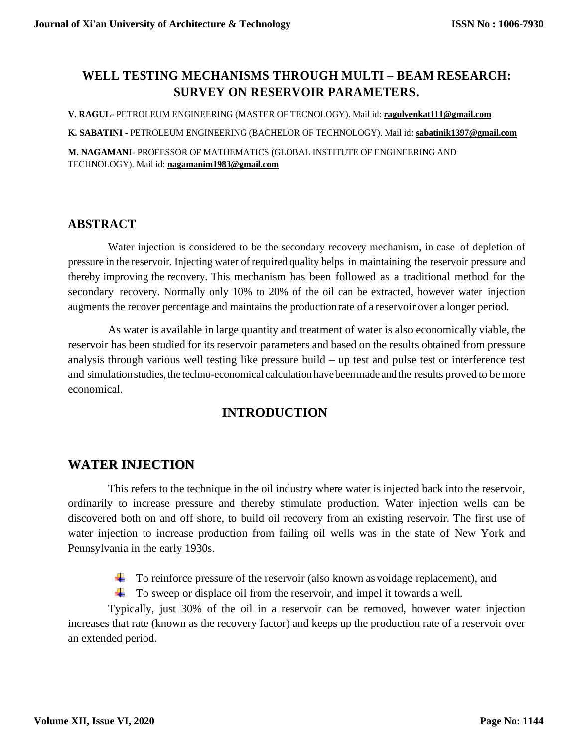## **WELL TESTING MECHANISMS THROUGH MULTI – BEAM RESEARCH: SURVEY ON RESERVOIR PARAMETERS.**

**V. RAGUL**- PETROLEUM ENGINEERING (MASTER OF TECNOLOGY). Mail id: **ragulvenkat111@gmail.com**

**K. SABATINI** - PETROLEUM ENGINEERING (BACHELOR OF TECHNOLOGY). Mail id: **sabatinik1397@gmail.com**

**M. NAGAMANI**- PROFESSOR OF MATHEMATICS (GLOBAL INSTITUTE OF ENGINEERING AND TECHNOLOGY). Mail id: **nagamanim1983@gmail.com**

### **ABSTRACT**

Water injection is considered to be the secondary recovery mechanism, in case of depletion of pressure in the reservoir. Injecting water of required quality helps in maintaining the reservoir pressure and thereby improving the recovery. This mechanism has been followed as a traditional method for the secondary recovery. Normally only 10% to 20% of the oil can be extracted, however water injection augments the recover percentage and maintains the production rate of a reservoir over a longer period.

As water is available in large quantity and treatment of water is also economically viable, the reservoir has been studied for its reservoir parameters and based on the results obtained from pressure analysis through various well testing like pressure build – up test and pulse test or interference test and simulation studies, the techno-economical calculation have been made and the results proved to be more economical.

## **INTRODUCTION**

## **WATER INJECTION**

This refers to the technique in the oil industry where water is injected back into the reservoir, ordinarily to increase pressure and thereby stimulate production. Water injection wells can be discovered both on and off shore, to build oil recovery from an existing reservoir. The first use of water injection to increase production from failing oil wells was in the state of New York and Pennsylvania in the early 1930s.

 $\ddot{\bullet}$  To reinforce pressure of the reservoir (also known as voidage replacement), and

To sweep or displace oil from the reservoir, and impel it towards a well.

Typically, just 30% of the oil in a reservoir can be removed, however water injection increases that rate (known as the recovery factor) and keeps up the production rate of a reservoir over an extended period.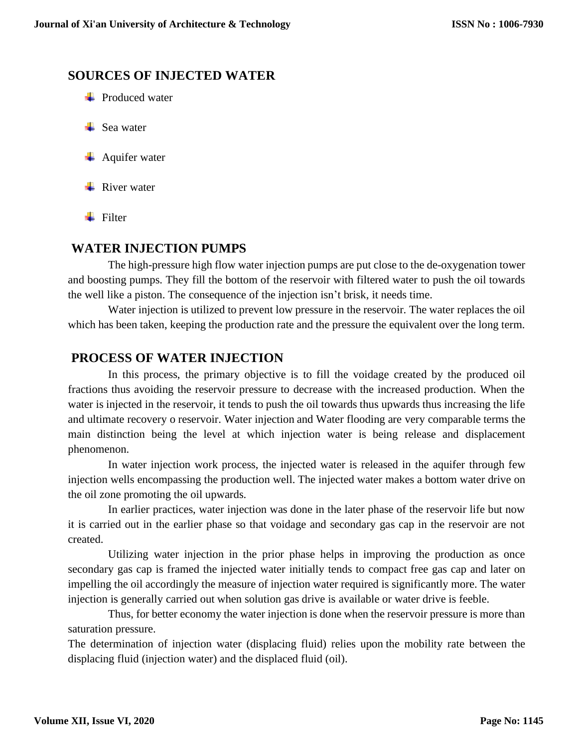### **SOURCES OF INJECTED WATER**

- $\blacksquare$  Produced water
- $\perp$  Sea water
- $\overline{\phantom{a}}$  Aquifer water
- $\blacksquare$  River water
- $\blacksquare$  Filter

### **WATER INJECTION PUMPS**

The high-pressure high flow water injection pumps are put close to the de-oxygenation tower and boosting pumps. They fill the bottom of the reservoir with filtered water to push the oil towards the well like a piston. The consequence of the injection isn't brisk, it needs time.

Water injection is utilized to prevent low pressure in the reservoir. The water replaces the oil which has been taken, keeping the production rate and the pressure the equivalent over the long term.

### **PROCESS OF WATER INJECTION**

In this process, the primary objective is to fill the voidage created by the produced oil fractions thus avoiding the reservoir pressure to decrease with the increased production. When the water is injected in the reservoir, it tends to push the oil towards thus upwards thus increasing the life and ultimate recovery o reservoir. Water injection and Water flooding are very comparable terms the main distinction being the level at which injection water is being release and displacement phenomenon.

In water injection work process, the injected water is released in the aquifer through few injection wells encompassing the production well. The injected water makes a bottom water drive on the oil zone promoting the oil upwards.

In earlier practices, water injection was done in the later phase of the reservoir life but now it is carried out in the earlier phase so that voidage and secondary gas cap in the reservoir are not created.

Utilizing water injection in the prior phase helps in improving the production as once secondary gas cap is framed the injected water initially tends to compact free gas cap and later on impelling the oil accordingly the measure of injection water required is significantly more. The water injection is generally carried out when solution gas drive is available or water drive is feeble.

Thus, for better economy the water injection is done when the reservoir pressure is more than saturation pressure.

The determination of injection water (displacing fluid) relies upon the mobility rate between the displacing fluid (injection water) and the displaced fluid (oil).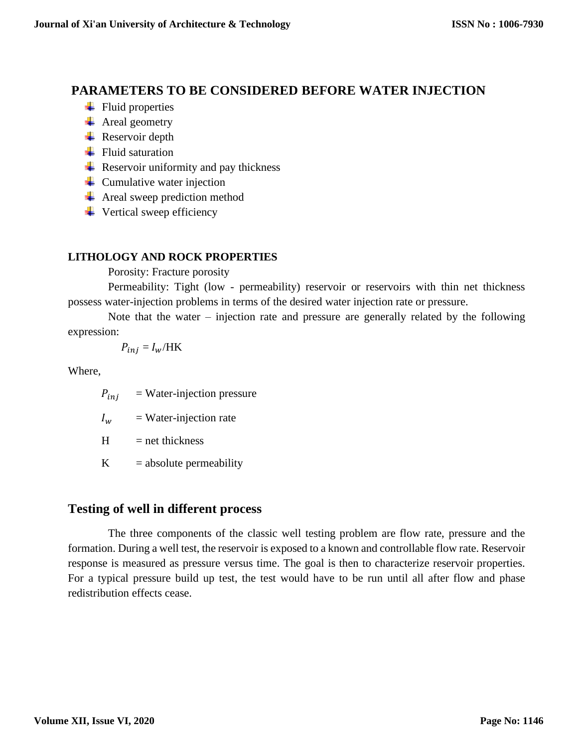## **PARAMETERS TO BE CONSIDERED BEFORE WATER INJECTION**

- $\overline{\phantom{a}}$  Fluid properties
- $\overline{\text{4}}$  Areal geometry
- $\overline{\phantom{a}}$  Reservoir depth
- $\overline{\phantom{a}}$  Fluid saturation
- $\overline{\phantom{a}}$  Reservoir uniformity and pay thickness
- $\leftarrow$  Cumulative water injection
- $\overline{\phantom{a}}$  Areal sweep prediction method
- $\ddot{\bullet}$  Vertical sweep efficiency

### **LITHOLOGY AND ROCK PROPERTIES**

Porosity: Fracture porosity

Permeability: Tight (low - permeability) reservoir or reservoirs with thin net thickness possess water-injection problems in terms of the desired water injection rate or pressure.

Note that the water – injection rate and pressure are generally related by the following expression:

$$
P_{inj} = I_w / HK
$$

Where,

 $P_{ini}$  = Water-injection pressure

 $I_w$  = Water-injection rate

 $H = net thickness$ 

 $K = absolute$  permeability

## **Testing of well in different process**

The three components of the classic well testing problem are flow rate, pressure and the formation. During a well test, the reservoir is exposed to a known and controllable flow rate. Reservoir response is measured as pressure versus time. The goal is then to characterize reservoir properties. For a typical pressure build up test, the test would have to be run until all after flow and phase redistribution effects cease.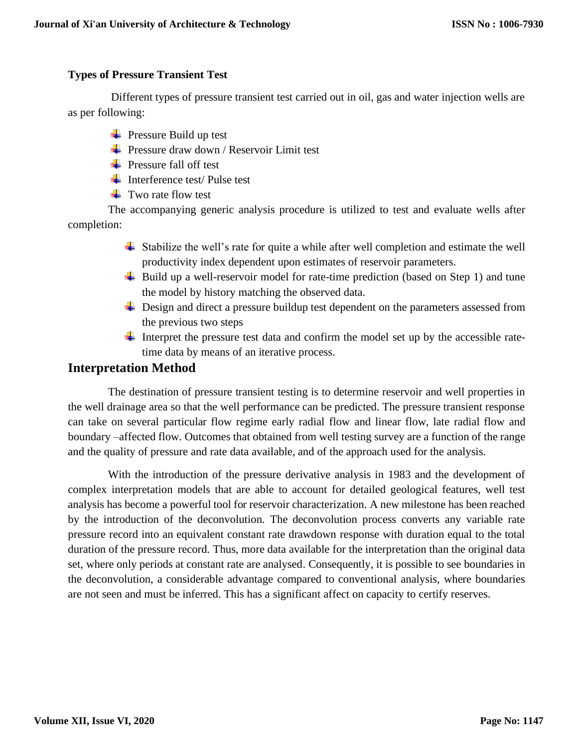#### **Types of Pressure Transient Test**

Different types of pressure transient test carried out in oil, gas and water injection wells are as per following:

- $\overline{\text{P}}$  Pressure Build up test
- $\overline{\text{P}}$  Pressure draw down / Reservoir Limit test
- $\leftarrow$  Pressure fall off test
- $\blacksquare$  Interference test/ Pulse test
- $\overline{\phantom{a}}$  Two rate flow test

The accompanying generic analysis procedure is utilized to test and evaluate wells after completion:

- $\overline{\phantom{a}}$  Stabilize the well's rate for quite a while after well completion and estimate the well productivity index dependent upon estimates of reservoir parameters.
- $\overline{\phantom{a}}$  Build up a well-reservoir model for rate-time prediction (based on Step 1) and tune the model by history matching the observed data.
- ↓ Design and direct a pressure buildup test dependent on the parameters assessed from the previous two steps
- Interpret the pressure test data and confirm the model set up by the accessible ratetime data by means of an iterative process.

### **Interpretation Method**

The destination of pressure transient testing is to determine reservoir and well properties in the well drainage area so that the well performance can be predicted. The pressure transient response can take on several particular flow regime early radial flow and linear flow, late radial flow and boundary –affected flow. Outcomes that obtained from well testing survey are a function of the range and the quality of pressure and rate data available, and of the approach used for the analysis.

With the introduction of the pressure derivative analysis in 1983 and the development of complex interpretation models that are able to account for detailed geological features, well test analysis has become a powerful tool for reservoir characterization. A new milestone has been reached by the introduction of the deconvolution. The deconvolution process converts any variable rate pressure record into an equivalent constant rate drawdown response with duration equal to the total duration of the pressure record. Thus, more data available for the interpretation than the original data set, where only periods at constant rate are analysed. Consequently, it is possible to see boundaries in the deconvolution, a considerable advantage compared to conventional analysis, where boundaries are not seen and must be inferred. This has a significant affect on capacity to certify reserves.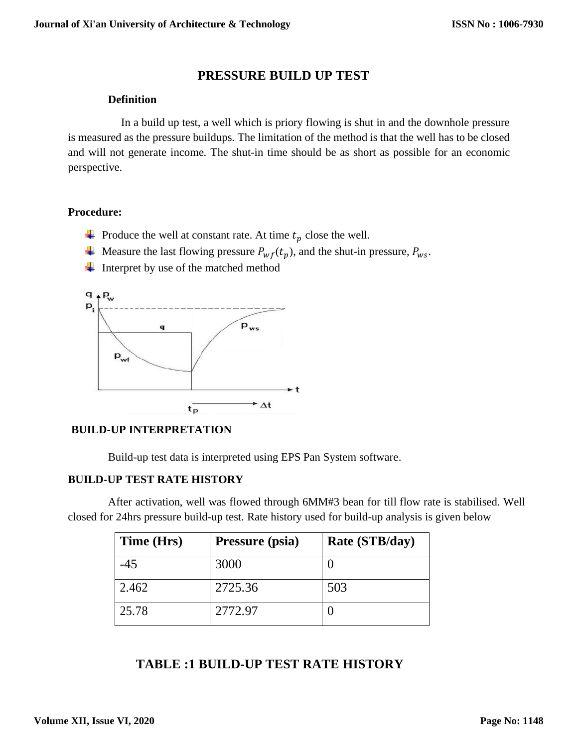### **PRESSURE BUILD UP TEST**

#### **Definition**

In a build up test, a well which is priory flowing is shut in and the downhole pressure is measured as the pressure buildups. The limitation of the method is that the well has to be closed and will not generate income. The shut-in time should be as short as possible for an economic perspective.

#### **Procedure:**

- **+** Produce the well at constant rate. At time  $t_p$  close the well.
- $\downarrow$  Measure the last flowing pressure  $P_{wf}(t_p)$ , and the shut-in pressure,  $P_{ws}$ .
- $\overline{\text{I}}$  Interpret by use of the matched method



#### **BUILD-UP INTERPRETATION**

Build-up test data is interpreted using EPS Pan System software.

#### **BUILD-UP TEST RATE HISTORY**

After activation, well was flowed through 6MM#3 bean for till flow rate is stabilised. Well closed for 24hrs pressure build-up test. Rate history used for build-up analysis is given below

| Time (Hrs) | Pressure (psia) | Rate (STB/day) |
|------------|-----------------|----------------|
| $-45$      | 3000            |                |
| 2.462      | 2725.36         | 503            |
| 25.78      | 2772.97         |                |

### **TABLE :1 BUILD-UP TEST RATE HISTORY**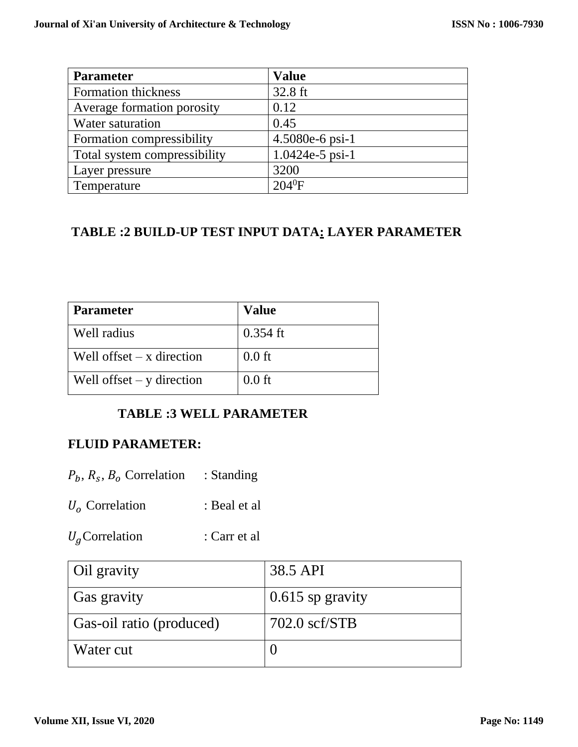| <b>Parameter</b>             | <b>Value</b>      |
|------------------------------|-------------------|
| Formation thickness          | 32.8 ft           |
| Average formation porosity   | 0.12              |
| Water saturation             | 0.45              |
| Formation compressibility    | 4.5080e-6 psi-1   |
| Total system compressibility | $1.0424e-5$ psi-1 |
| Layer pressure               | 3200              |
| Temperature                  | $204^0$ F         |

# **TABLE :2 BUILD-UP TEST INPUT DATA: LAYER PARAMETER**

| <b>Parameter</b>            | <b>Value</b> |
|-----------------------------|--------------|
| Well radius                 | $0.354$ ft   |
| Well offset $-x$ direction  | $0.0$ ft     |
| Well offset $-$ y direction | $0.0$ ft     |

## **TABLE :3 WELL PARAMETER**

## **FLUID PARAMETER:**

- $P_b$ ,  $R_s$ ,  $B_o$  Correlation : Standing
- $U_o$  Correlation : Beal et al
- $U_g$ Correlation : Carr et al

| Oil gravity              | 38.5 API                |
|--------------------------|-------------------------|
| Gas gravity              | $0.615$ sp gravity      |
| Gas-oil ratio (produced) | $702.0 \text{ scf/STB}$ |
| Water cut                |                         |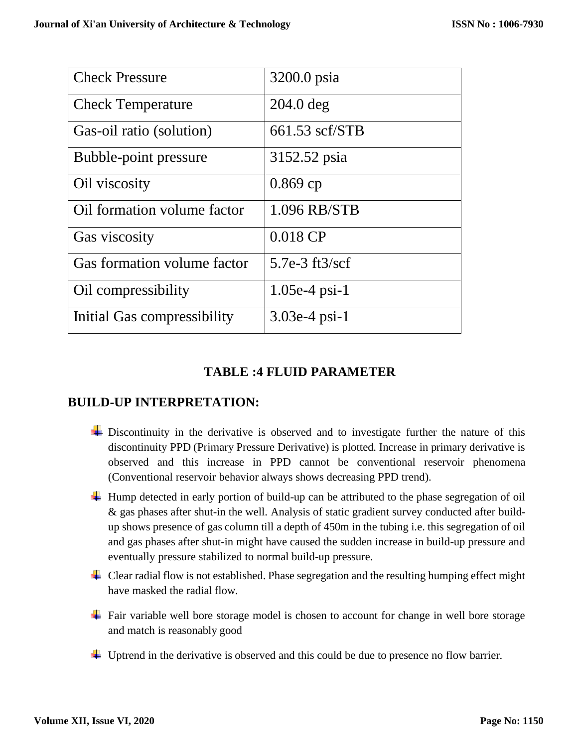| <b>Check Pressure</b>       | 3200.0 psia                  |
|-----------------------------|------------------------------|
| <b>Check Temperature</b>    | $204.0$ deg                  |
| Gas-oil ratio (solution)    | 661.53 scf/STB               |
| Bubble-point pressure       | 3152.52 psia                 |
| Oil viscosity               | $0.869$ cp                   |
| Oil formation volume factor | 1.096 RB/STB                 |
| Gas viscosity               | $0.018$ CP                   |
| Gas formation volume factor | $5.7e-3$ ft $3/\mathrm{scf}$ |
| Oil compressibility         | $1.05e-4$ psi-1              |
| Initial Gas compressibility | $3.03e-4$ psi-1              |

## **TABLE :4 FLUID PARAMETER**

### **BUILD-UP INTERPRETATION:**

- $\overline{\phantom{a}}$  Discontinuity in the derivative is observed and to investigate further the nature of this discontinuity PPD (Primary Pressure Derivative) is plotted. Increase in primary derivative is observed and this increase in PPD cannot be conventional reservoir phenomena (Conventional reservoir behavior always shows decreasing PPD trend).
- Hump detected in early portion of build-up can be attributed to the phase segregation of oil & gas phases after shut-in the well. Analysis of static gradient survey conducted after buildup shows presence of gas column till a depth of 450m in the tubing i.e. this segregation of oil and gas phases after shut-in might have caused the sudden increase in build-up pressure and eventually pressure stabilized to normal build-up pressure.
- $\overline{\phantom{a}}$  Clear radial flow is not established. Phase segregation and the resulting humping effect might have masked the radial flow.
- Fair variable well bore storage model is chosen to account for change in well bore storage and match is reasonably good
- Uptrend in the derivative is observed and this could be due to presence no flow barrier.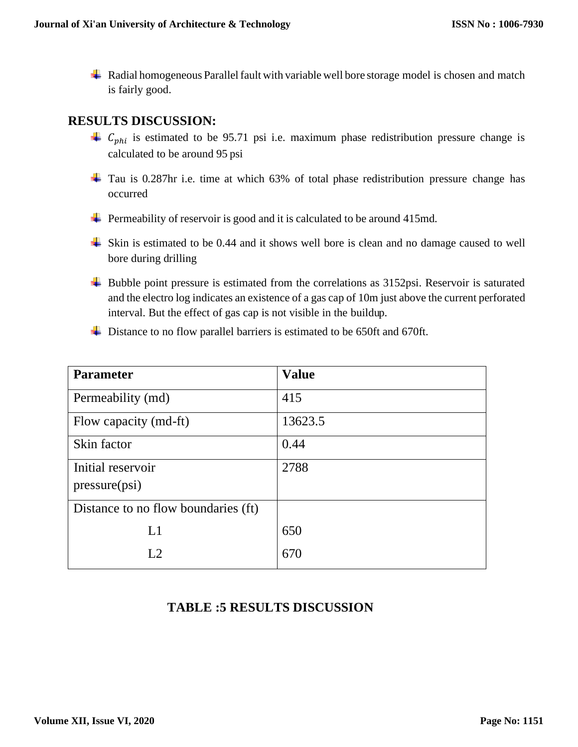$\overline{\phantom{a}}$  Radial homogeneous Parallel fault with variable well bore storage model is chosen and match is fairly good.

## **RESULTS DISCUSSION:**

- $C_{phi}$  is estimated to be 95.71 psi i.e. maximum phase redistribution pressure change is calculated to be around 95 psi
- Tau is 0.287hr i.e. time at which 63% of total phase redistribution pressure change has occurred
- $\overline{\phantom{a}}$  Permeability of reservoir is good and it is calculated to be around 415md.
- Skin is estimated to be 0.44 and it shows well bore is clean and no damage caused to well bore during drilling
- Bubble point pressure is estimated from the correlations as 3152psi. Reservoir is saturated and the electro log indicates an existence of a gas cap of 10m just above the current perforated interval. But the effect of gas cap is not visible in the buildup.
- ↓ Distance to no flow parallel barriers is estimated to be 650ft and 670ft.

| <b>Parameter</b>                    | <b>Value</b> |
|-------------------------------------|--------------|
| Permeability (md)                   | 415          |
| Flow capacity (md-ft)               | 13623.5      |
| Skin factor                         | 0.44         |
| Initial reservoir                   | 2788         |
| pressure(psi)                       |              |
| Distance to no flow boundaries (ft) |              |
| L1                                  | 650          |
| L <sub>2</sub>                      | 670          |
|                                     |              |

## **TABLE :5 RESULTS DISCUSSION**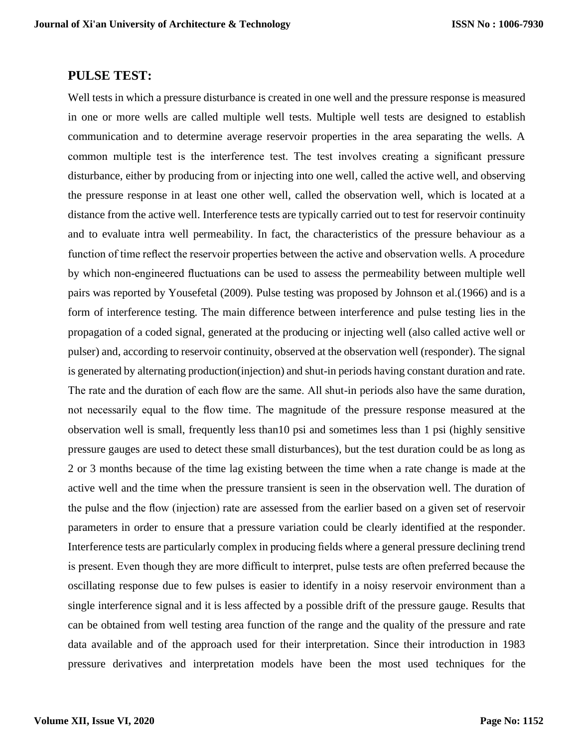#### **PULSE TEST:**

Well tests in which a pressure disturbance is created in one well and the pressure response is measured in one or more wells are called multiple well tests. Multiple well tests are designed to establish communication and to determine average reservoir properties in the area separating the wells. A common multiple test is the interference test. The test involves creating a significant pressure disturbance, either by producing from or injecting into one well, called the active well, and observing the pressure response in at least one other well, called the observation well, which is located at a distance from the active well. Interference tests are typically carried out to test for reservoir continuity and to evaluate intra well permeability. In fact, the characteristics of the pressure behaviour as a function of time reflect the reservoir properties between the active and observation wells. A procedure by which non-engineered fluctuations can be used to assess the permeability between multiple well pairs was reported by Yousefetal (2009). Pulse testing was proposed by Johnson et al.(1966) and is a form of interference testing. The main difference between interference and pulse testing lies in the propagation of a coded signal, generated at the producing or injecting well (also called active well or pulser) and, according to reservoir continuity, observed at the observation well (responder). The signal is generated by alternating production(injection) and shut-in periods having constant duration and rate. The rate and the duration of each flow are the same. All shut-in periods also have the same duration, not necessarily equal to the flow time. The magnitude of the pressure response measured at the observation well is small, frequently less than10 psi and sometimes less than 1 psi (highly sensitive pressure gauges are used to detect these small disturbances), but the test duration could be as long as 2 or 3 months because of the time lag existing between the time when a rate change is made at the active well and the time when the pressure transient is seen in the observation well. The duration of the pulse and the flow (injection) rate are assessed from the earlier based on a given set of reservoir parameters in order to ensure that a pressure variation could be clearly identified at the responder. Interference tests are particularly complex in producing fields where a general pressure declining trend is present. Even though they are more difficult to interpret, pulse tests are often preferred because the oscillating response due to few pulses is easier to identify in a noisy reservoir environment than a single interference signal and it is less affected by a possible drift of the pressure gauge. Results that can be obtained from well testing area function of the range and the quality of the pressure and rate data available and of the approach used for their interpretation. Since their introduction in 1983 pressure derivatives and interpretation models have been the most used techniques for the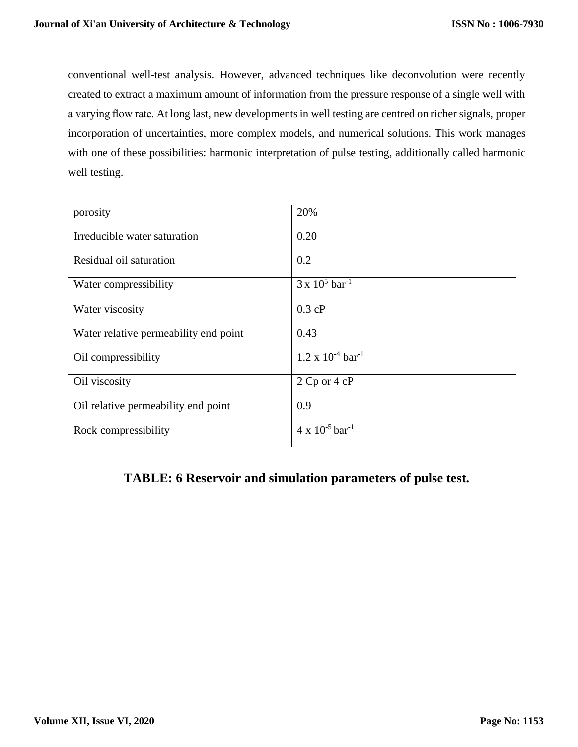conventional well-test analysis. However, advanced techniques like deconvolution were recently created to extract a maximum amount of information from the pressure response of a single well with a varying flow rate. At long last, new developmentsin well testing are centred on richer signals, proper incorporation of uncertainties, more complex models, and numerical solutions. This work manages with one of these possibilities: harmonic interpretation of pulse testing, additionally called harmonic well testing.

| porosity                              | 20%                                    |
|---------------------------------------|----------------------------------------|
| Irreducible water saturation          | 0.20                                   |
| Residual oil saturation               | 0.2                                    |
| Water compressibility                 | $3 \times 10^5$ bar <sup>-1</sup>      |
| Water viscosity                       | 0.3 cP                                 |
| Water relative permeability end point | 0.43                                   |
| Oil compressibility                   | $1.2 \times 10^{-4}$ bar <sup>-1</sup> |
| Oil viscosity                         | 2 Cp or 4 cP                           |
| Oil relative permeability end point   | 0.9                                    |
| Rock compressibility                  | $4 \times 10^{-5}$ bar <sup>-1</sup>   |

### **TABLE: 6 Reservoir and simulation parameters of pulse test.**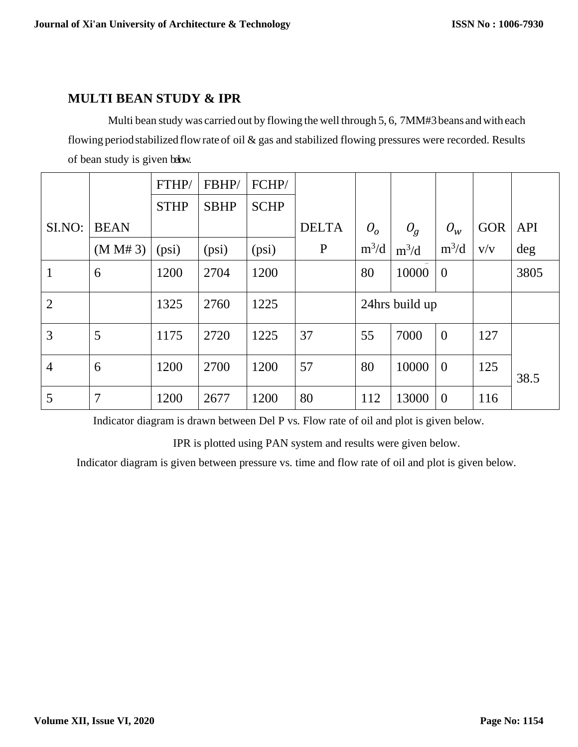### **MULTI BEAN STUDY & IPR**

Multi bean study was carried out by flowing the well through 5, 6, 7MM#3 beans and with each flowing periodstabilized flowrate of oil & gas and stabilized flowing pressures were recorded. Results of bean study is given below.

|                |             | FTHP/       | FBHP/       | FCHP/       |              |                |                |                |            |            |
|----------------|-------------|-------------|-------------|-------------|--------------|----------------|----------------|----------------|------------|------------|
|                |             | <b>STHP</b> | <b>SBHP</b> | <b>SCHP</b> |              |                |                |                |            |            |
| SI.NO:         | <b>BEAN</b> |             |             |             | <b>DELTA</b> | O <sub>o</sub> | $O_g$          | $O_{W}$        | <b>GOR</b> | <b>API</b> |
|                | (M M# 3)    | (psi)       | (psi)       | (psi)       | $\mathbf{P}$ | $m^3/d$        | $m^3/d$        | $m^3/d$        | V/V        | deg        |
| 1              | 6           | 1200        | 2704        | 1200        |              | 80             | 10000          | $\overline{0}$ |            | 3805       |
| $\overline{2}$ |             | 1325        | 2760        | 1225        |              |                | 24hrs build up |                |            |            |
| 3              | 5           | 1175        | 2720        | 1225        | 37           | 55             | 7000           | $\mathbf{0}$   | 127        |            |
| $\overline{4}$ | 6           | 1200        | 2700        | 1200        | 57           | 80             | 10000          | $\overline{0}$ | 125        | 38.5       |
| 5              | 7           | 1200        | 2677        | 1200        | 80           | 112            | 13000          | $\overline{0}$ | 116        |            |

Indicator diagram is drawn between Del P vs. Flow rate of oil and plot is given below.

IPR is plotted using PAN system and results were given below.

Indicator diagram is given between pressure vs. time and flow rate of oil and plot is given below.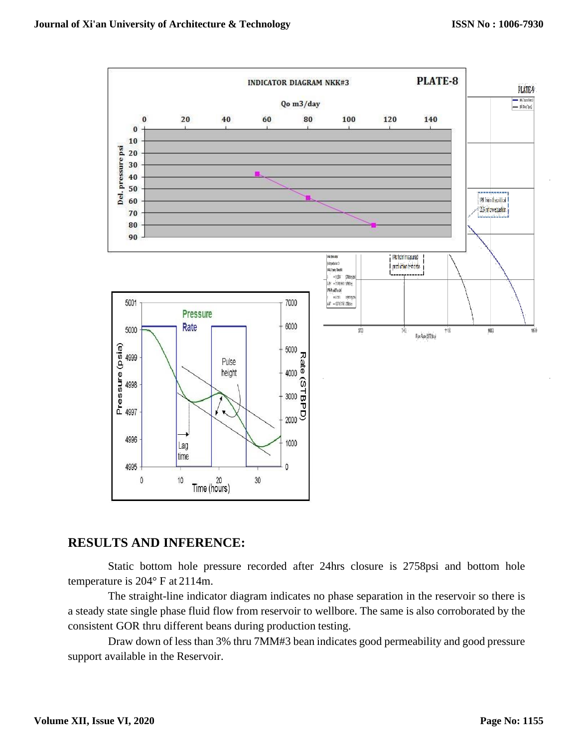

#### **RESULTS AND INFERENCE:**

Static bottom hole pressure recorded after 24hrs closure is 2758psi and bottom hole temperature is 204° F at 2114m.

The straight-line indicator diagram indicates no phase separation in the reservoir so there is a steady state single phase fluid flow from reservoir to wellbore. The same is also corroborated by the consistent GOR thru different beans during production testing.

Draw down of less than 3% thru 7MM#3 bean indicates good permeability and good pressure support available in the Reservoir.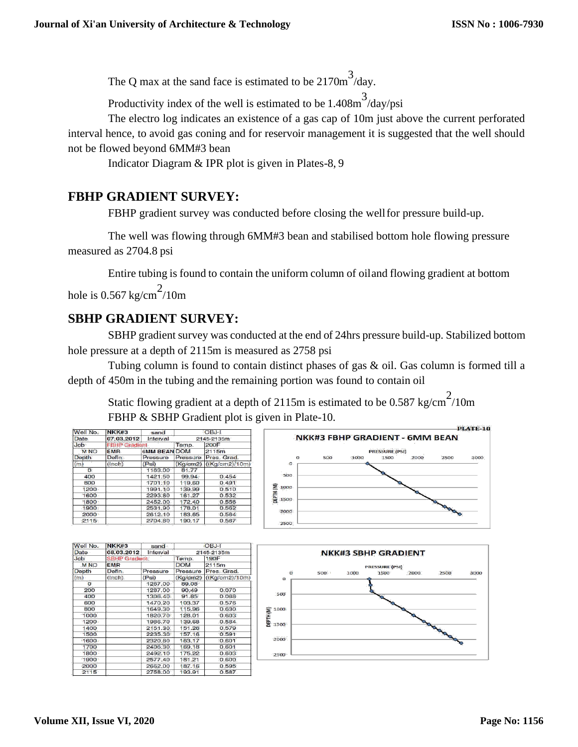The Q max at the sand face is estimated to be  $2170m^3$ /day.

Productivity index of the well is estimated to be  $1.408 \text{m}^3/\text{day/psi}$ 

The electro log indicates an existence of a gas cap of 10m just above the current perforated interval hence, to avoid gas coning and for reservoir management it is suggested that the well should not be flowed beyond 6MM#3 bean

Indicator Diagram & IPR plot is given in Plates-8, 9

## **FBHP GRADIENT SURVEY:**

FBHP gradient survey was conducted before closing the wellfor pressure build-up.

The well was flowing through 6MM#3 bean and stabilised bottom hole flowing pressure measured as 2704.8 psi

Entire tubing is found to contain the uniform column of oiland flowing gradient at bottom hole is 0.567 kg/cm<sup>2</sup>/10m

## **SBHP GRADIENT SURVEY:**

SBHP gradient survey was conducted at the end of 24hrs pressure build-up. Stabilized bottom hole pressure at a depth of 2115m is measured as 2758 psi

Tubing column is found to contain distinct phases of gas & oil. Gas column is formed till a depth of 450m in the tubing and the remaining portion was found to contain oil

Static flowing gradient at a depth of 2115m is estimated to be 0.587 kg/cm<sup>2</sup>/10m FBHP & SBHP Gradient plot is given in Plate-10.

| Well No.   | NKK#3                | sand                |          | OBJ-I                   |
|------------|----------------------|---------------------|----------|-------------------------|
| Date       | 07.03.2012           | Interval            |          | 2145-2135m              |
| Job        | <b>FBHP Gradient</b> |                     | Temp.    | 200F                    |
| <b>MNO</b> | <b>EMR</b>           | <b>6MM BEAN DOM</b> |          | 2115m                   |
| Depth      | Defin.               | Pressure            | Pressure | Pres. Grad.             |
| (m)        | (lnch)               | (Psi)               |          | (Kg/cm2) ((Kg/cm2)/10m) |
| $\Omega$   |                      | 1163.00             | 81.77    |                         |
| 400        |                      | 1421.50             | 99.94    | 0.454                   |
| 800        |                      | 1701.10             | 119.60   | 0.491                   |
| 1200       |                      | 1991.10             | 139.99   | 0.510                   |
| 1600       |                      | 2293.80             | 161.27   | 0.532                   |
| 1800       |                      | 2452.00             | 172.40   | 0.556                   |
| 1900       |                      | 2531.90             | 178.01   | 0.562                   |
| 2000       |                      | 2612.10             | 183.65   | 0.564                   |
| 2115       |                      | 2704.80             | 190.17   | 0.567                   |



| Well No.   | NKK#3                | sand     | OBJ-I      |                |
|------------|----------------------|----------|------------|----------------|
| Date       | 08.03.2012           | Interval | 2145-2135m |                |
| Job        | <b>SBHP Gradient</b> |          | Temp.      | 190F           |
| <b>MNO</b> | <b>EMR</b>           |          | <b>DOM</b> | 2115m          |
| Depth      | Defin.               | Pressure | Pressure   | Pres. Grad.    |
| (m)        | (Inch)               | (Psi)    | (Kq/cm2)   | ((Kg/cm2)/10m) |
| $\bf{O}$   |                      | 1267.00  | 89.08      |                |
| 200        |                      | 1287.00  | 90.49      | 0.070          |
| 400        |                      | 1306.40  | 91.85      | 0.068          |
| 600        |                      | 1470.20  | 103.37     | 0.576          |
| 800        |                      | 1649.30  | 115.96     | 0.630          |
| 1000       |                      | 1820.70  | 128.01     | 0.603          |
| 1200       |                      | 1986.70  | 139.68     | 0.584          |
| 1400       |                      | 2151.30  | 151.26     | 0.579          |
| 1500       |                      | 2235.30  | 157.16     | 0.591          |
| 1600       |                      | 2320.80  | 163.17     | 0.601          |
| 1700       |                      | 2406.30  | 169.18     | 0.601          |
| 1800       |                      | 2492.10  | 175.22     | 0.603          |
| 1900       |                      | 2577.40  | 181.21     | 0.600          |
| 2000       |                      | 2662.00  | 187.16     | 0.595          |
| 2115       |                      | 2758.00  | 193.91     | 0.587          |
|            |                      |          |            |                |

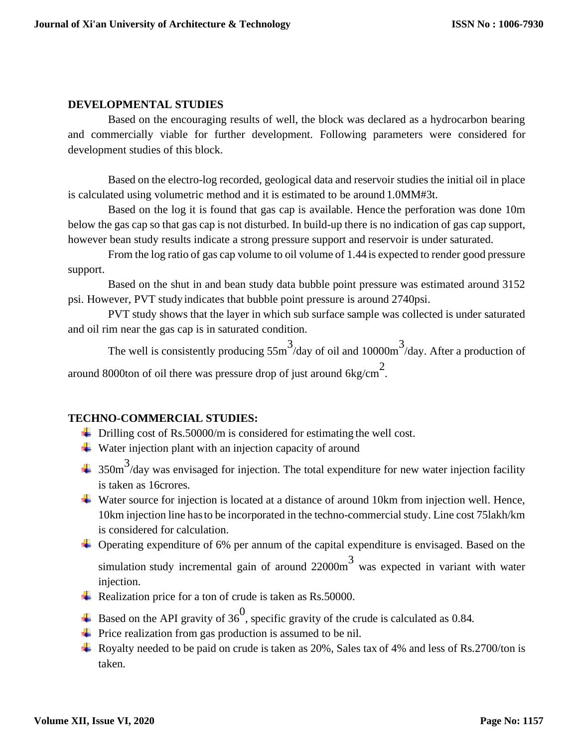#### **DEVELOPMENTAL STUDIES**

Based on the encouraging results of well, the block was declared as a hydrocarbon bearing and commercially viable for further development. Following parameters were considered for development studies of this block.

Based on the electro-log recorded, geological data and reservoir studies the initial oil in place is calculated using volumetric method and it is estimated to be around 1.0MM#3t.

Based on the log it is found that gas cap is available. Hence the perforation was done 10m below the gas cap so that gas cap is not disturbed. In build-up there is no indication of gas cap support, however bean study results indicate a strong pressure support and reservoir is under saturated.

From the log ratio of gas cap volume to oil volume of 1.44 is expected to render good pressure support.

Based on the shut in and bean study data bubble point pressure was estimated around 3152 psi. However, PVT study indicates that bubble point pressure is around 2740psi.

PVT study shows that the layer in which sub surface sample was collected is under saturated and oil rim near the gas cap is in saturated condition.

The well is consistently producing  $55m<sup>3</sup>/day$  of oil and 10000 $m<sup>3</sup>/day$ . After a production of around 8000ton of oil there was pressure drop of just around  $6\text{kg/cm}^2$ .

#### **TECHNO-COMMERCIAL STUDIES:**

- $\overline{\phantom{a}}$  Drilling cost of Rs.50000/m is considered for estimating the well cost.
- $\overline{\mathbf{u}}$  Water injection plant with an injection capacity of around
- $350\,\text{m}^3/\text{day}$  was envisaged for injection. The total expenditure for new water injection facility is taken as 16crores.
- Water source for injection is located at a distance of around 10km from injection well. Hence, 10km injection line hasto be incorporated in the techno-commercial study. Line cost 75lakh/km is considered for calculation.
- $\overline{\phantom{a}}$  Operating expenditure of 6% per annum of the capital expenditure is envisaged. Based on the simulation study incremental gain of around  $22000\text{m}^3$  was expected in variant with water injection.
- Realization price for a ton of crude is taken as  $Rs.50000$ .
- Based on the API gravity of  $36<sup>0</sup>$ , specific gravity of the crude is calculated as 0.84.
- $\overline{\text{F}}$  Price realization from gas production is assumed to be nil.
- Royalty needed to be paid on crude is taken as  $20\%$ , Sales tax of 4% and less of Rs.2700/ton is taken.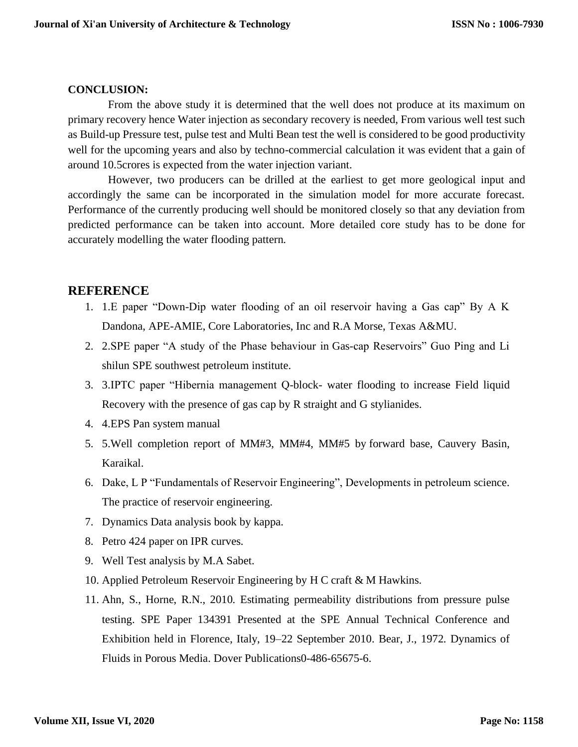#### **CONCLUSION:**

From the above study it is determined that the well does not produce at its maximum on primary recovery hence Water injection as secondary recovery is needed, From various well test such as Build-up Pressure test, pulse test and Multi Bean test the well is considered to be good productivity well for the upcoming years and also by techno-commercial calculation it was evident that a gain of around 10.5crores is expected from the water injection variant.

However, two producers can be drilled at the earliest to get more geological input and accordingly the same can be incorporated in the simulation model for more accurate forecast. Performance of the currently producing well should be monitored closely so that any deviation from predicted performance can be taken into account. More detailed core study has to be done for accurately modelling the water flooding pattern.

### **REFERENCE**

- 1. 1.E paper "Down-Dip water flooding of an oil reservoir having a Gas cap" By A K Dandona, APE-AMIE, Core Laboratories, Inc and R.A Morse, Texas A&MU.
- 2. 2.SPE paper "A study of the Phase behaviour in Gas-cap Reservoirs" Guo Ping and Li shilun SPE southwest petroleum institute.
- 3. 3.IPTC paper "Hibernia management Q-block- water flooding to increase Field liquid Recovery with the presence of gas cap by R straight and G stylianides.
- 4. 4.EPS Pan system manual
- 5. 5.Well completion report of MM#3, MM#4, MM#5 by forward base, Cauvery Basin, Karaikal.
- 6. Dake, L P "Fundamentals of Reservoir Engineering", Developments in petroleum science. The practice of reservoir engineering.
- 7. Dynamics Data analysis book by kappa.
- 8. Petro 424 paper on IPR curves.
- 9. Well Test analysis by M.A Sabet.
- 10. Applied Petroleum Reservoir Engineering by H C craft & M Hawkins.
- 11. Ahn, S., Horne, R.N., 2010. Estimating permeability distributions from pressure pulse testing. SPE Paper 134391 Presented at the SPE Annual Technical Conference and Exhibition held in Florence, Italy, 19–22 September 2010. Bear, J., 1972. Dynamics of Fluids in Porous Media. Dover Publications0-486-65675-6.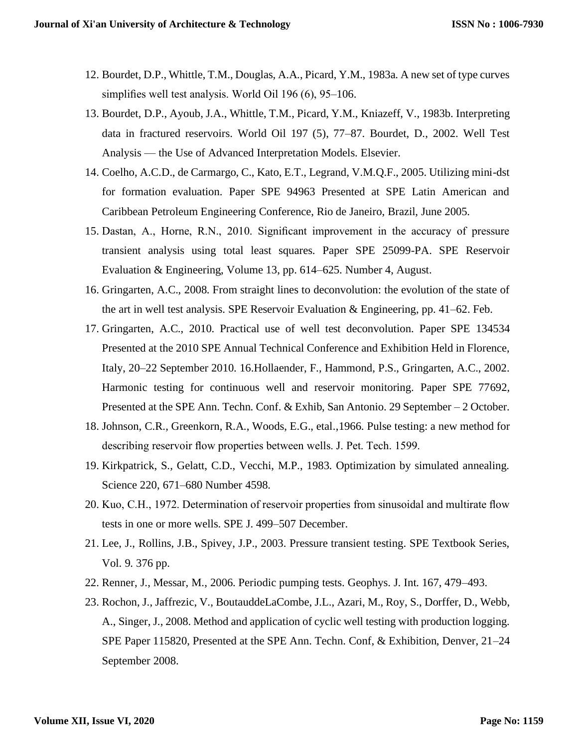- 12. Bourdet, D.P., Whittle, T.M., Douglas, A.A., Picard, Y.M., 1983a. A new set of type curves simplifies well test analysis. World Oil 196 (6), 95–106.
- 13. Bourdet, D.P., Ayoub, J.A., Whittle, T.M., Picard, Y.M., Kniazeff, V., 1983b. Interpreting data in fractured reservoirs. World Oil 197 (5), 77–87. Bourdet, D., 2002. Well Test Analysis — the Use of Advanced Interpretation Models. Elsevier.
- 14. Coelho, A.C.D., de Carmargo, C., Kato, E.T., Legrand, V.M.Q.F., 2005. Utilizing mini-dst for formation evaluation. Paper SPE 94963 Presented at SPE Latin American and Caribbean Petroleum Engineering Conference, Rio de Janeiro, Brazil, June 2005.
- 15. Dastan, A., Horne, R.N., 2010. Significant improvement in the accuracy of pressure transient analysis using total least squares. Paper SPE 25099-PA. SPE Reservoir Evaluation & Engineering, Volume 13, pp. 614–625. Number 4, August.
- 16. Gringarten, A.C., 2008. From straight lines to deconvolution: the evolution of the state of the art in well test analysis. SPE Reservoir Evaluation & Engineering, pp. 41–62. Feb.
- 17. Gringarten, A.C., 2010. Practical use of well test deconvolution. Paper SPE 134534 Presented at the 2010 SPE Annual Technical Conference and Exhibition Held in Florence, Italy, 20–22 September 2010. 16.Hollaender, F., Hammond, P.S., Gringarten, A.C., 2002. Harmonic testing for continuous well and reservoir monitoring. Paper SPE 77692, Presented at the SPE Ann. Techn. Conf. & Exhib, San Antonio. 29 September – 2 October.
- 18. Johnson, C.R., Greenkorn, R.A., Woods, E.G., etal.,1966. Pulse testing: a new method for describing reservoir flow properties between wells. J. Pet. Tech. 1599.
- 19. Kirkpatrick, S., Gelatt, C.D., Vecchi, M.P., 1983. Optimization by simulated annealing. Science 220, 671–680 Number 4598.
- 20. Kuo, C.H., 1972. Determination of reservoir properties from sinusoidal and multirate flow tests in one or more wells. SPE J. 499–507 December.
- 21. Lee, J., Rollins, J.B., Spivey, J.P., 2003. Pressure transient testing. SPE Textbook Series, Vol. 9. 376 pp.
- 22. Renner, J., Messar, M., 2006. Periodic pumping tests. Geophys. J. Int. 167, 479–493.
- 23. Rochon, J., Jaffrezic, V., BoutauddeLaCombe, J.L., Azari, M., Roy, S., Dorffer, D., Webb, A., Singer, J., 2008. Method and application of cyclic well testing with production logging. SPE Paper 115820, Presented at the SPE Ann. Techn. Conf, & Exhibition, Denver, 21–24 September 2008.